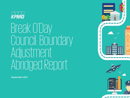

# Break O'Day Council: Boundary Adjustment Abridged Report



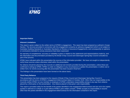

#### **Important Notice**

#### **Inherent Limitations**

This report is given subject to the written terms of KPMG's engagement. This report has been prepared as outlined in Scope Section. The services provided in connection with this engagement comprise an advisory engagement which is not subject to Australian Auditing Standards or Australian Standards on Review or Assurance Engagements, and consequently no opinions or conclusions intended to convey assurance have been expressed.

No warranty of completeness, accuracy or reliability is given in relation to the statements and representations made by, and the information and documentation provided by the Break O'Day Council and Glamorgan Spring Bay Council consulted as part of the process.

KPMG have indicated within this presentation the sources of the information provided. We have not sought to independently verify those sources unless otherwise noted within the presentation.

No reliance should be placed by the Councils on additional oral remarks provided during the presentation, unless these are confirmed in writing by KPMG. KPMG is under no obligation in any circumstance to update this presentation, in either oral or written form, for events occurring after the presentation has been issued in final form.

The findings in this presentation have been formed on the above basis.

#### **Third Party Reliance**

This presentation has been prepared at the request of Break O'Day Council and Glamorgan Spring Bay Council in accordance with the terms of KPMG's engagement letter/contract dated 12 October 2016. Other than our responsibility to the Councils neither KPMG nor any member or employee of KPMG undertakes responsibility arising in any way from reliance placed by a third party on this presentation. Any reliance placed is that party's sole responsibility.

This report is provided solely for the benefit of the parties identified in the engagement letter/contract and are not to be copied, quoted or referred to in whole or in part without KPMG's prior written consent. KPMG accepts no responsibility to anyone other than the parties identified in the engagement letter/contract for the information contained in this report.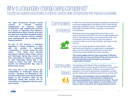### Why is a boundary change being considered? Councils are exploring opportunities to improve services while strengthening their financial sustainability…

**The State Government recently invited councils to consider voluntary amalgamation or resource sharing arrangements with neighbouring councils, as a means of improving their efficiency and effectiveness. Many councils all around the state have undertaken feasibility studies to find ways to improve services, maintain local representation and strengthen their financial position.**

**As part of this process, a boundary adjustment is being considered, to align with the concept of preserving 'communities of interest' along the East Coast. This stems from informal discussions between Break O'Day Council and Glamorgan Spring Bay Council and their communities in relation to a proposal to 'split' Glamorgan Spring Bay in the vicinity of Cherry Tree Hill. This would transfer the Bicheno/Coles Bay area to Break O'Day Council.**

**This same area is also important to the sustainability of Glamorgan Spring Bay Council. Therefore, the likelihood of this boundary adjustment going ahead depends largely on the decisions taken by the Glamorgan Spring Bay Council and its communities to amalgamate with the southeast councils.**

## Communities of Interest



In 2009, the Local Government Board considered a proposal for a voluntary amalgamation of the Break O'Day Council and the Glamorgan Spring Bay Council. That report found that people felt strongly connected with their townships, as opposed to municipal areas.

Preliminary discussions suggest that communities in and around Coles Bay and Bicheno feel more strongly aligned to the north of Tasmania than those communities to the south, such as Swansea, Orford and Triabunna, given the range of connections which exist through education, sporting and other services.

Cherry Tree Hill also presents a natural divide in water catchments and therefore is a logical split on a geographic basis, given the limited local government services and infrastructure responsibilities around this boundary.

**This would suggest that the major townships of Bicheno and Coles Bay can form part Break O'Day and not feel tied to Glamorgan Spring Bay through any perceived "community of interest".** 

Community Drivers The population of the Break O'Day municipal area has experienced little to near no growth in the last five years, and is forecast to remain fairly flat. However, the proportion of the population in the over 65 age bracket is projected to increase and the median age is projected to grow from 52 to 60 by 2037.

**The ageing of the population and low population growth across Tasmania as a whole presents a challenge to ensuring sustainability of councils into the future. This will have a financial and social impact on communities in the long run and is a key driver for local government reform.**



© 2017 KPMS, an Australian partneship and anember firm of the KPMG onework of independent member firms affiliated with KPMG International Cooperative ("KPMG International"), a Swiss entity. All rights reserved. The KPMG na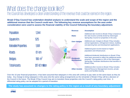### What does the change look like? The Council has developed a clear understanding of the revenue that could be earned in the region…

**Break O'Day Council has undertaken detailed analysis to understand the scale and scope of the region and the additional revenue that the Council could earn. The following key revenue assumptions for the area under consideration were used to assess the financial viability of the Council following the boundary adjustment.** 

|                                         |                   |                       | <b>Revenue</b>                                  | <b>Assumption</b>                                                                                                     |
|-----------------------------------------|-------------------|-----------------------|-------------------------------------------------|-----------------------------------------------------------------------------------------------------------------------|
| Population:                             | .344              |                       | <b>Rates</b>                                    | Additional rate income to Break O'Day is based on<br>the rate income currently levied by Glamorgan                    |
| Square Km:                              | 525               |                       |                                                 | Spring Bay Council on properties in the area.                                                                         |
|                                         |                   |                       | <b>User charges</b>                             | Additional user charges to Break O'Day includes<br>animal registrations, infringement notices, building               |
| <b>Rateable Properties:</b>             | 1,991             |                       |                                                 | and planning fees and development applications.                                                                       |
|                                         |                   |                       | <b>Grants</b>                                   | Additional grant income based on higher<br>population and infrastructure.                                             |
| Roads:                                  | $61 \text{ km}$   | <b>Break</b><br>O'Day |                                                 |                                                                                                                       |
|                                         |                   | Glamorgan             |                                                 | Additional dividends/ distributions to Break O'Day<br>have been assumed to reflect the additional assets              |
| Bridges:                                | $199 \text{ m}^2$ | Sprina Bav            | <b>Dividends/</b><br><b>distributions</b>       | acquired. This equates to 19% of the Glamorgan<br>Spring Bay TasWater distributions that transfers to<br>Break O'Day. |
|                                         |                   |                       |                                                 |                                                                                                                       |
| \$17.42 million<br><b>Total Assets:</b> |                   |                       | Additional other income to Break O'Day includes |                                                                                                                       |
|                                         |                   |                       | <b>Other income</b>                             | Natural Resource Management income, private<br>works and facilities leasing.                                          |

Over the 10 year financial projections, it has been assumed that ratepayers in this area will continue to pay rates on the same basis as they do today. Any change to bring ratepayers in this area onto the same rating arrangements as the remainder of Break O'Day will be a decision of the Council in the future. The Break O'Day Council may aim to transition these properties onto the Council's rating policy over time. A differential rating policy can be adopted for a period of transition.

**The study has assumed no changes to the rating policy in the region as a result of any boundary adjustment**



@ 2017 KPMG, an Australian partnership and a member firm of the KPMG network of independent member firms affil or trademarks of KPMG International. Liability limited by a scheme approved under Professional Standards Legislation.

4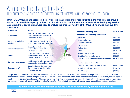### What does the change look like? The Council has developed a clear understanding of the infrastructure and services in the region…

**Break O'Day Council has assessed the service levels and expenditure requirements in the area from the groundup and considered the capacity of the Council to absorb 'back-office' support services. The following key service and expenditure assumptions were used to analyse the financial viability of the Council, following the boundary adjustment.**

| <b>Expenditure</b>                            | <b>Assumption</b>                                                                                       |
|-----------------------------------------------|---------------------------------------------------------------------------------------------------------|
| Governance                                    | No additional staff resources but an<br>additional expenditure allowance for<br>activities in the area. |
| <b>Corporate/Technical</b><br><b>Services</b> | 1 additional FTE (including 0.4 FTE to<br>cover reception (based in Bicheno).                           |
| <b>Community services</b>                     | No additional staff resources but an<br>additional expenditure allowance for<br>activities in the area. |
| <b>Works</b>                                  | 4 crew members on-ground to<br>undertake maintenance functions in<br>the region (based in Bicheno).     |
| <b>Development Services</b>                   | 1 additional FTE, plus an expenditure<br>allowance for activities in the area.                          |
| <b>Customer service</b>                       | New shop front in Bicheno, mostly<br>likely co-located with the Visitor<br>Information centre.          |

**KPMG** 

| <b>Additional Operating Revenue</b>               | \$3.16 million |
|---------------------------------------------------|----------------|
| <b>Additional Net Operating Expenditure</b>       |                |
| Governance                                        | \$197.819      |
| <b>Corporate Services</b>                         | \$165,020      |
| <b>Community Services</b>                         | \$51,254       |
| <b>Visitor Centre</b>                             | \$151,450      |
| <b>Medical Centre</b>                             | \$105,928      |
| <b>Works</b>                                      | \$1,452,320    |
| <b>Development Services</b>                       | \$138.348      |
| New Shopfront operating costs                     | \$25,000       |
| <b>Total additional net operating expenditure</b> | \$2.29 million |

| <b>Assets &amp; Capital Expenditure</b>  |                 |
|------------------------------------------|-----------------|
| Assets-Roads, bridges, plant & equipment | \$17.42 million |
| <b>Annual Depreciation of Assets</b>     | \$389,381       |
| <b>New Shopfront</b>                     | \$10,000        |

The projections assume Break O'Day will invest in infrastructure maintenance in this area in line with its depreciation, so there should be no deterioration in assets – roads, bridges, parks, reserves etc. A new shop front will be established in Bicheno and a works crew, comprising four employees will be retained in the area. All additional activity in relation to community services, development/ regulatory services and corporate/ governance services will be absorbed by existing Break O'Day Council staff, with some allowance made for additional costs as required.

*Glamorgan Spring Bay*

*Break O'Day*

### **The study has assumed no changes to service levels as a result of any boundary adjustment**

© 2017 KPMS, an Australian partneship and anember firm of the KPMG onework of independent member firms affiliated with KPMG International Cooperative ("KPMG International"), a Swiss entity. All rights reserved. The KPMG na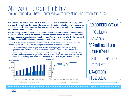### What would the Council look like? The projections indicate that the Council and its community stand to benefit from this change…

**The financial projections indicate that this proposal would benefit Break O'Day Council and the Bicheno/Coles Bay area. However, any boundary adjustment will depend on decisions taken by Glamorgan Spring Bay Council in respect to options to amalgamate with the south-east councils.**

**The modelling results indicate that the additional area would generate sufficient income for Break O'Day Council to maintain current service levels in the area, and would generate additional surpluses and cash for the Council each year into the future, which could be reinvested into the community at large to improve assets and services.**

The results of the financial modelling indicate that Break O'Day's financial position is improved by the boundary adjustment. The impact of the change from a financial perspective would be:

- additional operating revenue of approximately **\$3.2 million per year**, additional operating expenditure of **\$2.3 million per year,** and additional capital works around **\$390,000** per year.
- a potential improvement in the operating result (underlying surplus) in year 1 of approximately **\$0.9 million,** which will grow on average over the next 10 years. This represents an improvement in net cash flows generated by the Council, at a steady state of approximately **\$0.5 million per year**.



25% additional revenue 17% additional expenses \$0.9 million additional surplus in Year 1 \$0.5 million additional cash flows 12% additional **infrastructure** 

### **The additional surpluses generated would be reinvested into the community to improve assets and services**

**KPMG** 

© 2017 KPMS, an Australian partneship and anember firm of the KPMG onework of independent member firms affiliated with KPMG International Cooperative ("KPMG International"), a Swiss entity. All rights reserved. The KPMG na